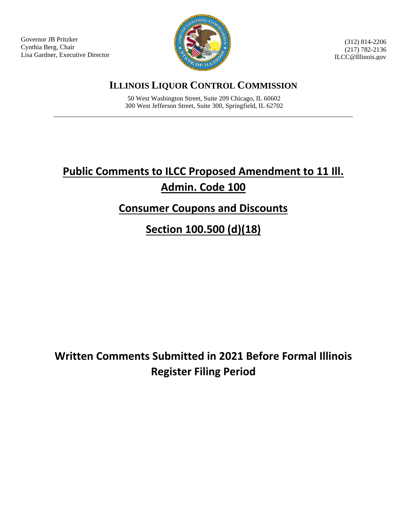Governor JB Pritzker Cynthia Berg, Chair Lisa Gardner, Executive Director



(312) 814-2206 (217) 782-2136 ILCC@Illinois.gov

**ILLINOIS LIQUOR CONTROL COMMISSION**

50 West Washington Street, Suite 209 Chicago, IL 60602 300 West Jefferson Street, Suite 300, Springfield, IL 62702

# **Public Comments to ILCC Proposed Amendment to 11 Ill. Admin. Code 100**

## **Consumer Coupons and Discounts**

**Section 100.500 (d)(18)**

**Written Comments Submitted in 2021 Before Formal Illinois Register Filing Period**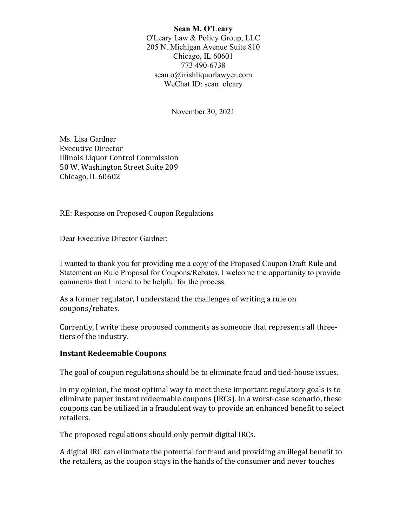Sean M. O'Leary O'Leary Law & Policy Group, LLC 205 N. Michigan Avenue Suite 810 Chicago, IL 60601 773 490-6738 sean.o@irishliquorlawyer.com WeChat ID: sean\_oleary

November 30, 2021

Ms. Lisa Gardner Executive Director Illinois Liquor Control Commission 50 W. Washington Street Suite 209 Chicago, IL 60602

RE: Response on Proposed Coupon Regulations

Dear Executive Director Gardner:

I wanted to thank you for providing me a copy of the Proposed Coupon Draft Rule and Statement on Rule Proposal for Coupons/Rebates. I welcome the opportunity to provide comments that I intend to be helpful for the process.

As a former regulator, I understand the challenges of writing a rule on coupons/rebates.

Currently, I write these proposed comments as someone that represents all threetiers of the industry.

#### Instant Redeemable Coupons

The goal of coupon regulations should be to eliminate fraud and tied-house issues.

In my opinion, the most optimal way to meet these important regulatory goals is to eliminate paper instant redeemable coupons (IRCs). In a worst-case scenario, these coupons can be utilized in a fraudulent way to provide an enhanced benefit to select retailers.

The proposed regulations should only permit digital IRCs.

A digital IRC can eliminate the potential for fraud and providing an illegal benefit to the retailers, as the coupon stays in the hands of the consumer and never touches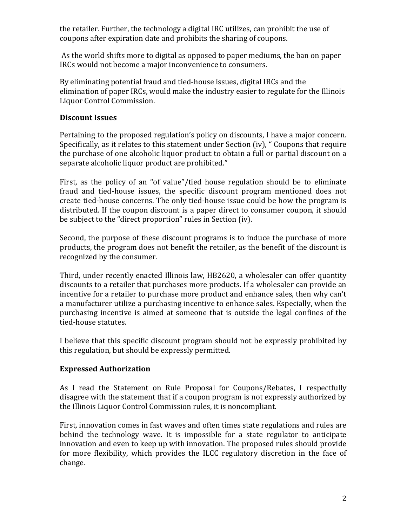the retailer. Further, the technology a digital IRC utilizes, can prohibit the use of coupons after expiration date and prohibits the sharing of coupons.

 As the world shifts more to digital as opposed to paper mediums, the ban on paper IRCs would not become a major inconvenience to consumers.

By eliminating potential fraud and tied-house issues, digital IRCs and the elimination of paper IRCs, would make the industry easier to regulate for the Illinois Liquor Control Commission.

## Discount Issues

Pertaining to the proposed regulation's policy on discounts, I have a major concern. Specifically, as it relates to this statement under Section (iv), " Coupons that require the purchase of one alcoholic liquor product to obtain a full or partial discount on a separate alcoholic liquor product are prohibited."

First, as the policy of an "of value"/tied house regulation should be to eliminate fraud and tied-house issues, the specific discount program mentioned does not create tied-house concerns. The only tied-house issue could be how the program is distributed. If the coupon discount is a paper direct to consumer coupon, it should be subject to the "direct proportion" rules in Section (iv).

Second, the purpose of these discount programs is to induce the purchase of more products, the program does not benefit the retailer, as the benefit of the discount is recognized by the consumer.

Third, under recently enacted Illinois law, HB2620, a wholesaler can offer quantity discounts to a retailer that purchases more products. If a wholesaler can provide an incentive for a retailer to purchase more product and enhance sales, then why can't a manufacturer utilize a purchasing incentive to enhance sales. Especially, when the purchasing incentive is aimed at someone that is outside the legal confines of the tied-house statutes.

I believe that this specific discount program should not be expressly prohibited by this regulation, but should be expressly permitted.

## Expressed Authorization

As I read the Statement on Rule Proposal for Coupons/Rebates, I respectfully disagree with the statement that if a coupon program is not expressly authorized by the Illinois Liquor Control Commission rules, it is noncompliant.

First, innovation comes in fast waves and often times state regulations and rules are behind the technology wave. It is impossible for a state regulator to anticipate innovation and even to keep up with innovation. The proposed rules should provide for more flexibility, which provides the ILCC regulatory discretion in the face of change.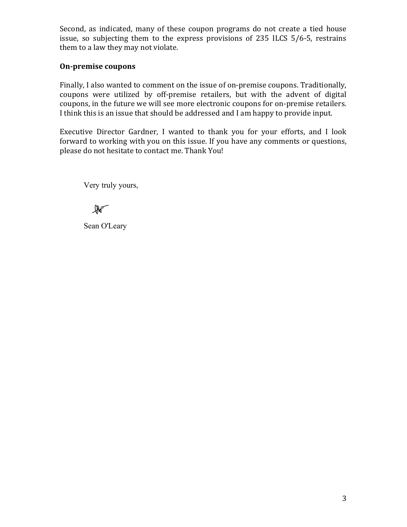Second, as indicated, many of these coupon programs do not create a tied house issue, so subjecting them to the express provisions of 235 ILCS 5/6-5, restrains them to a law they may not violate.

## On-premise coupons

Finally, I also wanted to comment on the issue of on-premise coupons. Traditionally, coupons were utilized by off-premise retailers, but with the advent of digital coupons, in the future we will see more electronic coupons for on-premise retailers. I think this is an issue that should be addressed and I am happy to provide input.

Executive Director Gardner, I wanted to thank you for your efforts, and I look forward to working with you on this issue. If you have any comments or questions, please do not hesitate to contact me. Thank You!

Very truly yours,

 $\mathbb{R}^-$ 

Sean O'Leary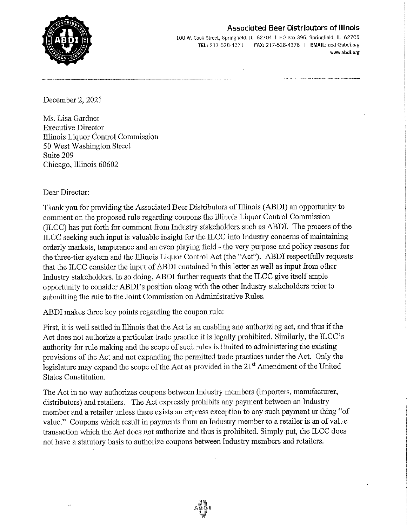#### **Associated Beer Distributors of Illinois**



100 W. Cook Street, Springfield, IL 62704 | PO Box 396, Springfield, IL 62705 TEL: 217-528-4371 | FAX: 217-528-4376 | EMAIL: abdi@abdi.org www.abdi.org

December 2, 2021

Ms. Lisa Gardner **Executive Director** Illinois Liquor Control Commission 50 West Washington Street Suite 209 Chicago, Illinois 60602

#### Dear Director:

Thank you for providing the Associated Beer Distributors of Illinois (ABDI) an opportunity to comment on the proposed rule regarding coupons the Illinois Liquor Control Commission (ILCC) has put forth for comment from Industry stakeholders such as ABDI. The process of the ILCC seeking such input is valuable insight for the ILCC into Industry concerns of maintaining orderly markets, temperance and an even playing field - the very purpose and policy reasons for the three-tier system and the Illinois Liquor Control Act (the "Act"). ABDI respectfully requests that the ILCC consider the input of ABDI contained in this letter as well as input from other Industry stakeholders. In so doing, ABDI further requests that the ILCC give itself ample opportunity to consider ABDI's position along with the other Industry stakeholders prior to submitting the rule to the Joint Commission on Administrative Rules.

ABDI makes three key points regarding the coupon rule:

First, it is well settled in Illinois that the Act is an enabling and authorizing act, and thus if the Act does not authorize a particular trade practice it is legally prohibited. Similarly, the ILCC's authority for rule making and the scope of such rules is limited to administering the existing provisions of the Act and not expanding the permitted trade practices under the Act. Only the legislature may expand the scope of the Act as provided in the 21<sup>st</sup> Amendment of the United States Constitution.

The Act in no way authorizes coupons between Industry members (importers, manufacturer, distributors) and retailers. The Act expressly prohibits any payment between an Industry member and a retailer unless there exists an express exception to any such payment or thing "of value." Coupons which result in payments from an Industry member to a retailer is an of value transaction which the Act does not authorize and thus is prohibited. Simply put, the ILCC does not have a statutory basis to authorize coupons between Industry members and retailers.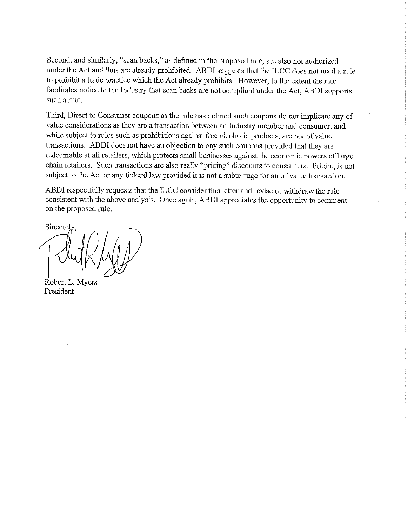Second, and similarly, "scan backs," as defined in the proposed rule, are also not authorized under the Act and thus are already prohibited. ABDI suggests that the ILCC does not need a rule to prohibit a trade practice which the Act already prohibits. However, to the extent the rule facilitates notice to the Industry that scan backs are not compliant under the Act, ABDI supports such a rule.

Third, Direct to Consumer coupons as the rule has defined such coupons do not implicate any of value considerations as they are a transaction between an Industry member and consumer, and while subject to rules such as prohibitions against free alcoholic products, are not of value transactions. ABDI does not have an objection to any such coupons provided that they are redeemable at all retailers, which protects small businesses against the economic powers of large chain retailers. Such transactions are also really "pricing" discounts to consumers. Pricing is not subject to the Act or any federal law provided it is not a subterfuge for an of value transaction.

ABDI respectfully requests that the ILCC consider this letter and revise or withdraw the rule consistent with the above analysis. Once again, ABDI appreciates the opportunity to comment on the proposed rule.

Sincerel

Robert L. Myers President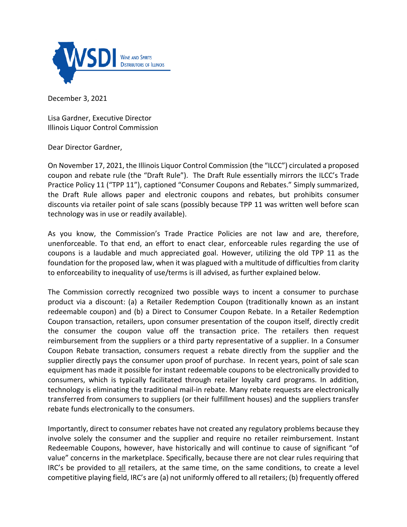

December 3, 2021

Lisa Gardner, Executive Director Illinois Liquor Control Commission

Dear Director Gardner,

On November 17, 2021, the Illinois Liquor Control Commission (the "ILCC") circulated a proposed coupon and rebate rule (the "Draft Rule"). The Draft Rule essentially mirrors the ILCC's Trade Practice Policy 11 ("TPP 11"), captioned "Consumer Coupons and Rebates." Simply summarized, the Draft Rule allows paper and electronic coupons and rebates, but prohibits consumer discounts via retailer point of sale scans (possibly because TPP 11 was written well before scan technology was in use or readily available).

As you know, the Commission's Trade Practice Policies are not law and are, therefore, unenforceable. To that end, an effort to enact clear, enforceable rules regarding the use of coupons is a laudable and much appreciated goal. However, utilizing the old TPP 11 as the foundation for the proposed law, when it was plagued with a multitude of difficulties from clarity to enforceability to inequality of use/terms is ill advised, as further explained below.

The Commission correctly recognized two possible ways to incent a consumer to purchase product via a discount: (a) a Retailer Redemption Coupon (traditionally known as an instant redeemable coupon) and (b) a Direct to Consumer Coupon Rebate. In a Retailer Redemption Coupon transaction, retailers, upon consumer presentation of the coupon itself, directly credit the consumer the coupon value off the transaction price. The retailers then request reimbursement from the suppliers or a third party representative of a supplier. In a Consumer Coupon Rebate transaction, consumers request a rebate directly from the supplier and the supplier directly pays the consumer upon proof of purchase. In recent years, point of sale scan equipment has made it possible for instant redeemable coupons to be electronically provided to consumers, which is typically facilitated through retailer loyalty card programs. In addition, technology is eliminating the traditional mail-in rebate. Many rebate requests are electronically transferred from consumers to suppliers (or their fulfillment houses) and the suppliers transfer rebate funds electronically to the consumers.

Importantly, direct to consumer rebates have not created any regulatory problems because they involve solely the consumer and the supplier and require no retailer reimbursement. Instant Redeemable Coupons, however, have historically and will continue to cause of significant "of value" concerns in the marketplace. Specifically, because there are not clear rules requiring that IRC's be provided to all retailers, at the same time, on the same conditions, to create a level competitive playing field, IRC's are (a) not uniformly offered to all retailers; (b) frequently offered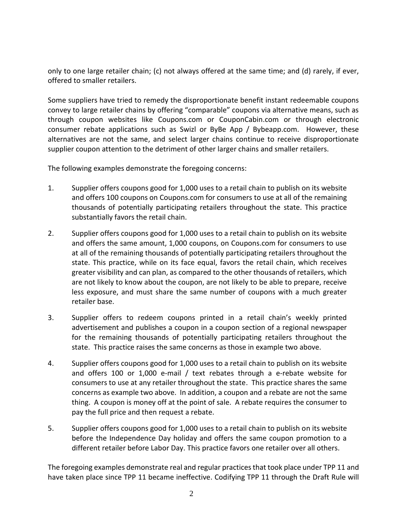only to one large retailer chain; (c) not always offered at the same time; and (d) rarely, if ever, offered to smaller retailers.

Some suppliers have tried to remedy the disproportionate benefit instant redeemable coupons convey to large retailer chains by offering "comparable" coupons via alternative means, such as through coupon websites like Coupons.com or CouponCabin.com or through electronic consumer rebate applications such as Swizl or ByBe App / Bybeapp.com. However, these alternatives are not the same, and select larger chains continue to receive disproportionate supplier coupon attention to the detriment of other larger chains and smaller retailers.

The following examples demonstrate the foregoing concerns:

- 1. Supplier offers coupons good for 1,000 uses to a retail chain to publish on its website and offers 100 coupons on Coupons.com for consumers to use at all of the remaining thousands of potentially participating retailers throughout the state. This practice substantially favors the retail chain.
- 2. Supplier offers coupons good for 1,000 uses to a retail chain to publish on its website and offers the same amount, 1,000 coupons, on Coupons.com for consumers to use at all of the remaining thousands of potentially participating retailers throughout the state. This practice, while on its face equal, favors the retail chain, which receives greater visibility and can plan, as compared to the other thousands of retailers, which are not likely to know about the coupon, are not likely to be able to prepare, receive less exposure, and must share the same number of coupons with a much greater retailer base.
- 3. Supplier offers to redeem coupons printed in a retail chain's weekly printed advertisement and publishes a coupon in a coupon section of a regional newspaper for the remaining thousands of potentially participating retailers throughout the state. This practice raises the same concerns as those in example two above.
- 4. Supplier offers coupons good for 1,000 uses to a retail chain to publish on its website and offers 100 or 1,000 e-mail / text rebates through a e-rebate website for consumers to use at any retailer throughout the state. This practice shares the same concerns as example two above. In addition, a coupon and a rebate are not the same thing. A coupon is money off at the point of sale. A rebate requires the consumer to pay the full price and then request a rebate.
- 5. Supplier offers coupons good for 1,000 uses to a retail chain to publish on its website before the Independence Day holiday and offers the same coupon promotion to a different retailer before Labor Day. This practice favors one retailer over all others.

The foregoing examples demonstrate real and regular practices that took place under TPP 11 and have taken place since TPP 11 became ineffective. Codifying TPP 11 through the Draft Rule will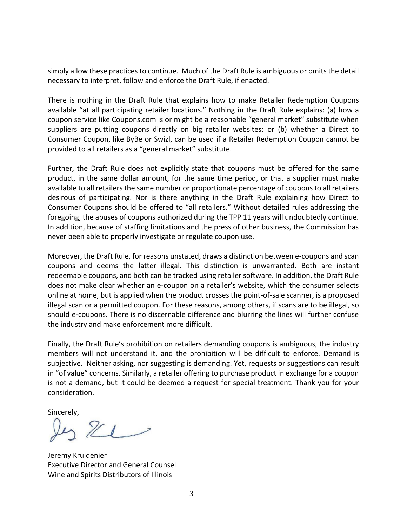simply allow these practices to continue. Much of the Draft Rule is ambiguous or omits the detail necessary to interpret, follow and enforce the Draft Rule, if enacted.

There is nothing in the Draft Rule that explains how to make Retailer Redemption Coupons available "at all participating retailer locations." Nothing in the Draft Rule explains: (a) how a coupon service like Coupons.com is or might be a reasonable "general market" substitute when suppliers are putting coupons directly on big retailer websites; or (b) whether a Direct to Consumer Coupon, like ByBe or Swizl, can be used if a Retailer Redemption Coupon cannot be provided to all retailers as a "general market" substitute.

Further, the Draft Rule does not explicitly state that coupons must be offered for the same product, in the same dollar amount, for the same time period, or that a supplier must make available to all retailers the same number or proportionate percentage of coupons to all retailers desirous of participating. Nor is there anything in the Draft Rule explaining how Direct to Consumer Coupons should be offered to "all retailers." Without detailed rules addressing the foregoing, the abuses of coupons authorized during the TPP 11 years will undoubtedly continue. In addition, because of staffing limitations and the press of other business, the Commission has never been able to properly investigate or regulate coupon use.

Moreover, the Draft Rule, for reasons unstated, draws a distinction between e-coupons and scan coupons and deems the latter illegal. This distinction is unwarranted. Both are instant redeemable coupons, and both can be tracked using retailer software. In addition, the Draft Rule does not make clear whether an e-coupon on a retailer's website, which the consumer selects online at home, but is applied when the product crosses the point-of-sale scanner, is a proposed illegal scan or a permitted coupon. For these reasons, among others, if scans are to be illegal, so should e-coupons. There is no discernable difference and blurring the lines will further confuse the industry and make enforcement more difficult.

Finally, the Draft Rule's prohibition on retailers demanding coupons is ambiguous, the industry members will not understand it, and the prohibition will be difficult to enforce. Demand is subjective. Neither asking, nor suggesting is demanding. Yet, requests or suggestions can result in "of value" concerns. Similarly, a retailer offering to purchase product in exchange for a coupon is not a demand, but it could be deemed a request for special treatment. Thank you for your consideration.

Sincerely,<br> $21 -$ 

Jeremy Kruidenier Executive Director and General Counsel Wine and Spirits Distributors of Illinois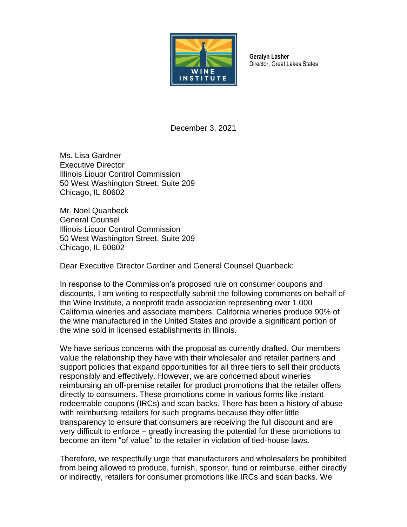

**Geralyn Lasher** Director, Great Lakes States

December 3, 2021

Ms. Lisa Gardner Executive Director Illinois Liquor Control Commission 50 West Washington Street, Suite 209 Chicago, IL 60602

Mr. Noel Quanbeck General Counsel Illinois Liquor Control Commission 50 West Washington Street, Suite 209 Chicago, IL 60602

Dear Executive Director Gardner and General Counsel Quanbeck:

In response to the Commission's proposed rule on consumer coupons and discounts, I am writing to respectfully submit the following comments on behalf of the Wine Institute, a nonprofit trade association representing over 1,000 California wineries and associate members. California wineries produce 90% of the wine manufactured in the United States and provide a significant portion of the wine sold in licensed establishments in Illinois.

We have serious concerns with the proposal as currently drafted. Our members value the relationship they have with their wholesaler and retailer partners and support policies that expand opportunities for all three tiers to sell their products responsibly and effectively. However, we are concerned about wineries reimbursing an off-premise retailer for product promotions that the retailer offers directly to consumers. These promotions come in various forms like instant redeemable coupons (IRCs) and scan backs. There has been a history of abuse with reimbursing retailers for such programs because they offer little transparency to ensure that consumers are receiving the full discount and are very difficult to enforce – greatly increasing the potential for these promotions to become an item "of value" to the retailer in violation of tied-house laws.

Therefore, we respectfully urge that manufacturers and wholesalers be prohibited from being allowed to produce, furnish, sponsor, fund or reimburse, either directly or indirectly, retailers for consumer promotions like IRCs and scan backs. We